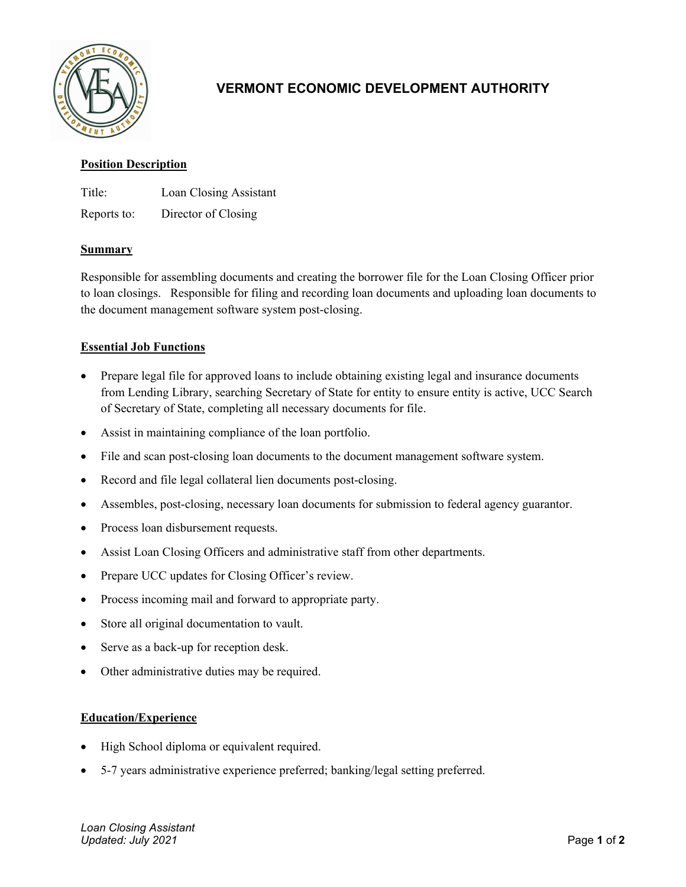

# **VERMONT ECONOMIC DEVELOPMENT AUTHORITY**

## **Position Description**

Title: Loan Closing Assistant

Reports to: Director of Closing

## **Summary**

Responsible for assembling documents and creating the borrower file for the Loan Closing Officer prior to loan closings. Responsible for filing and recording loan documents and uploading loan documents to the document management software system post-closing.

# **Essential Job Functions**

- Prepare legal file for approved loans to include obtaining existing legal and insurance documents from Lending Library, searching Secretary of State for entity to ensure entity is active, UCC Search of Secretary of State, completing all necessary documents for file.
- Assist in maintaining compliance of the loan portfolio.
- File and scan post-closing loan documents to the document management software system.
- Record and file legal collateral lien documents post-closing.
- Assembles, post-closing, necessary loan documents for submission to federal agency guarantor.
- Process loan disbursement requests.
- Assist Loan Closing Officers and administrative staff from other departments.
- Prepare UCC updates for Closing Officer's review.
- Process incoming mail and forward to appropriate party.
- Store all original documentation to vault.
- Serve as a back-up for reception desk.
- Other administrative duties may be required.

# **Education/Experience**

- High School diploma or equivalent required.
- 5-7 years administrative experience preferred; banking/legal setting preferred.